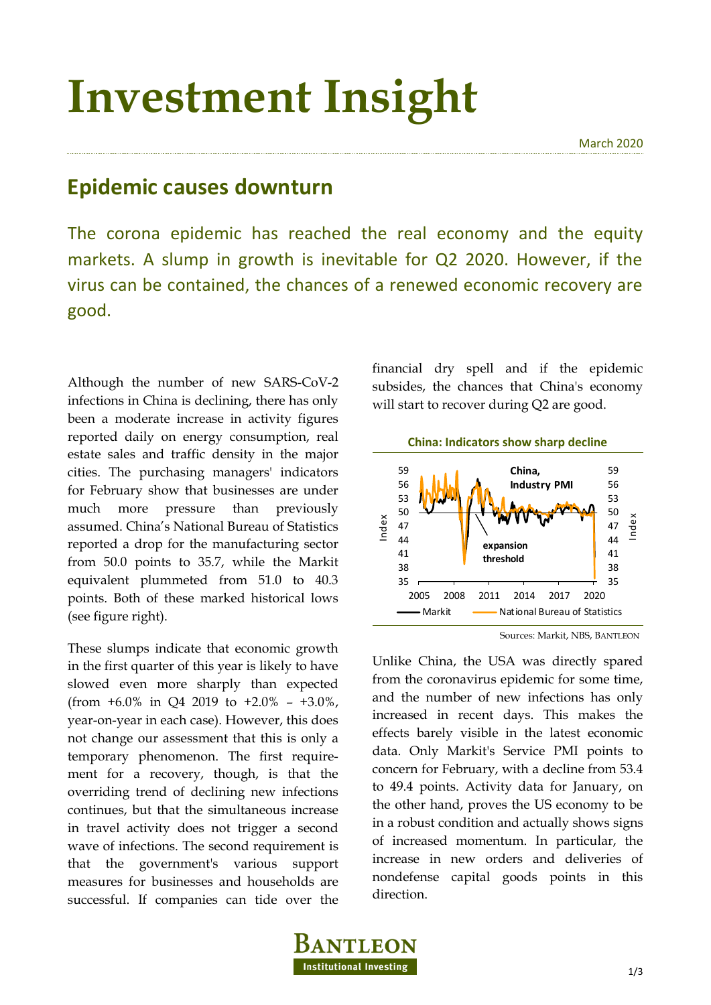## **Investment Insight**

## **Epidemic causes downturn**

The corona epidemic has reached the real economy and the equity markets. A slump in growth is inevitable for Q2 2020. However, if the virus can be contained, the chances of a renewed economic recovery are good.

Although the number of new SARS-CoV-2 infections in China is declining, there has only been a moderate increase in activity figures reported daily on energy consumption, real estate sales and traffic density in the major cities. The purchasing managers' indicators for February show that businesses are under much more pressure than previously assumed. China's National Bureau of Statistics reported a drop for the manufacturing sector from 50.0 points to 35.7, while the Markit equivalent plummeted from 51.0 to 40.3 points. Both of these marked historical lows (see figure right).

These slumps indicate that economic growth in the first quarter of this year is likely to have slowed even more sharply than expected (from  $+6.0\%$  in Q4 2019 to  $+2.0\%$  –  $+3.0\%$ , year-on-year in each case). However, this does not change our assessment that this is only a temporary phenomenon. The first requirement for a recovery, though, is that the overriding trend of declining new infections continues, but that the simultaneous increase in travel activity does not trigger a second wave of infections. The second requirement is that the government's various support measures for businesses and households are successful. If companies can tide over the financial dry spell and if the epidemic subsides, the chances that China's economy will start to recover during Q2 are good.



Sources: Markit, NBS, BANTLEON

Unlike China, the USA was directly spared from the coronavirus epidemic for some time, and the number of new infections has only increased in recent days. This makes the effects barely visible in the latest economic data. Only Markit's Service PMI points to concern for February, with a decline from 53.4 to 49.4 points. Activity data for January, on the other hand, proves the US economy to be in a robust condition and actually shows signs of increased momentum. In particular, the increase in new orders and deliveries of nondefense capital goods points in this direction.

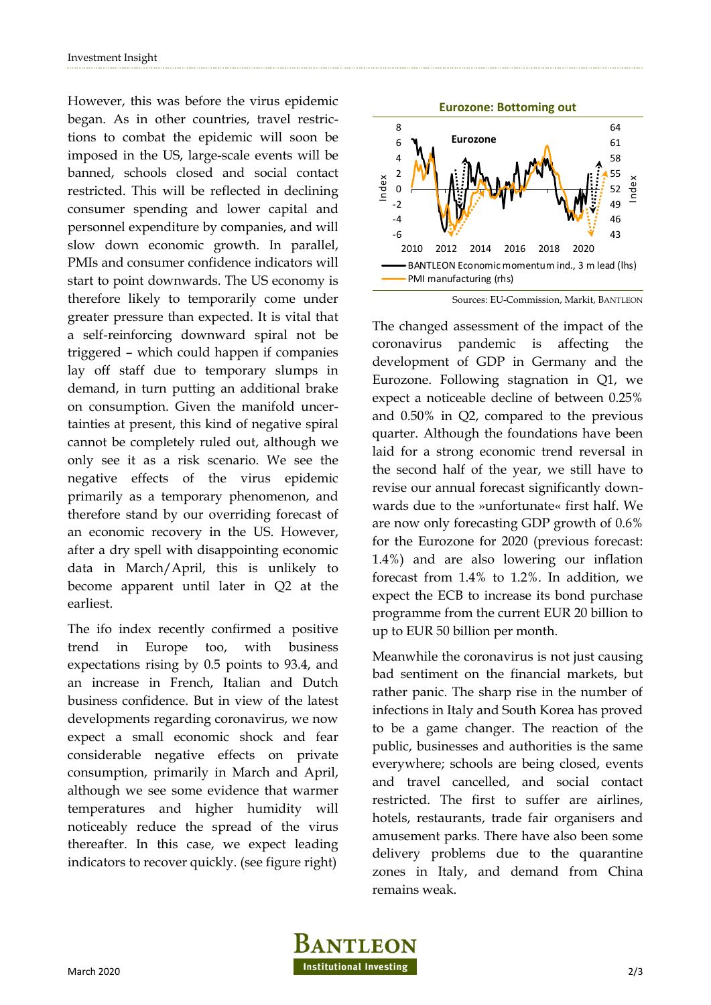However, this was before the virus epidemic began. As in other countries, travel restrictions to combat the epidemic will soon be imposed in the US, large-scale events will be banned, schools closed and social contact restricted. This will be reflected in declining consumer spending and lower capital and personnel expenditure by companies, and will slow down economic growth. In parallel, PMIs and consumer confidence indicators will start to point downwards. The US economy is therefore likely to temporarily come under greater pressure than expected. It is vital that a self-reinforcing downward spiral not be triggered – which could happen if companies lay off staff due to temporary slumps in demand, in turn putting an additional brake on consumption. Given the manifold uncertainties at present, this kind of negative spiral cannot be completely ruled out, although we only see it as a risk scenario. We see the negative effects of the virus epidemic primarily as a temporary phenomenon, and therefore stand by our overriding forecast of an economic recovery in the US. However, after a dry spell with disappointing economic data in March/April, this is unlikely to become apparent until later in Q2 at the earliest.

The ifo index recently confirmed a positive trend in Europe too, with business expectations rising by 0.5 points to 93.4, and an increase in French, Italian and Dutch business confidence. But in view of the latest developments regarding coronavirus, we now expect a small economic shock and fear considerable negative effects on private consumption, primarily in March and April, although we see some evidence that warmer temperatures and higher humidity will noticeably reduce the spread of the virus thereafter. In this case, we expect leading indicators to recover quickly. (see figure right)



Sources: EU-Commission, Markit, BANTLEON

The changed assessment of the impact of the coronavirus pandemic is affecting the development of GDP in Germany and the Eurozone. Following stagnation in Q1, we expect a noticeable decline of between 0.25% and 0.50% in Q2, compared to the previous quarter. Although the foundations have been laid for a strong economic trend reversal in the second half of the year, we still have to revise our annual forecast significantly downwards due to the »unfortunate« first half. We are now only forecasting GDP growth of 0.6% for the Eurozone for 2020 (previous forecast: 1.4%) and are also lowering our inflation forecast from 1.4% to 1.2%. In addition, we expect the ECB to increase its bond purchase programme from the current EUR 20 billion to up to EUR 50 billion per month.

Meanwhile the coronavirus is not just causing bad sentiment on the financial markets, but rather panic. The sharp rise in the number of infections in Italy and South Korea has proved to be a game changer. The reaction of the public, businesses and authorities is the same everywhere; schools are being closed, events and travel cancelled, and social contact restricted. The first to suffer are airlines, hotels, restaurants, trade fair organisers and amusement parks. There have also been some delivery problems due to the quarantine zones in Italy, and demand from China remains weak.